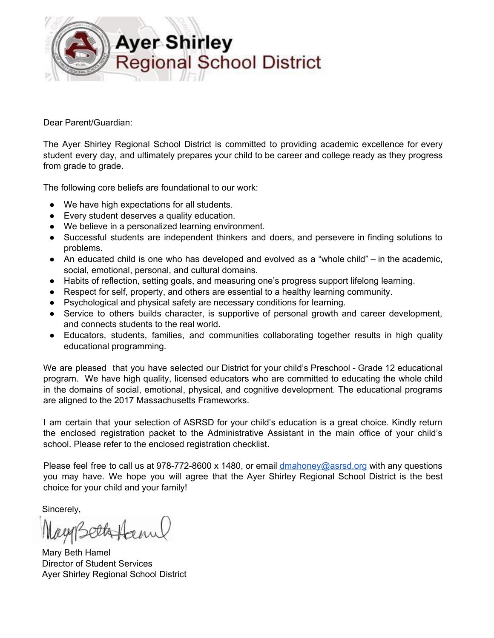

Dear Parent/Guardian:

The Ayer Shirley Regional School District is committed to providing academic excellence for every student every day, and ultimately prepares your child to be career and college ready as they progress from grade to grade.

The following core beliefs are foundational to our work:

- We have high expectations for all students.
- Every student deserves a quality education.
- We believe in a personalized learning environment.
- Successful students are independent thinkers and doers, and persevere in finding solutions to problems.
- An educated child is one who has developed and evolved as a "whole child" in the academic, social, emotional, personal, and cultural domains.
- Habits of reflection, setting goals, and measuring one's progress support lifelong learning.
- Respect for self, property, and others are essential to a healthy learning community.
- Psychological and physical safety are necessary conditions for learning.
- Service to others builds character, is supportive of personal growth and career development, and connects students to the real world.
- Educators, students, families, and communities collaborating together results in high quality educational programming.

We are pleased that you have selected our District for your child's Preschool - Grade 12 educational program. We have high quality, licensed educators who are committed to educating the whole child in the domains of social, emotional, physical, and cognitive development. The educational programs are aligned to the 2017 Massachusetts Frameworks.

I am certain that your selection of ASRSD for your child's education is a great choice. Kindly return the enclosed registration packet to the Administrative Assistant in the main office of your child's school. Please refer to the enclosed registration checklist.

Please feel free to call us at 978-772-8600 x 1480, or email [dmahoney@asrsd.org](mailto:dmahoney@asrsd.org) with any questions you may have. We hope you will agree that the Ayer Shirley Regional School District is the best choice for your child and your family!

Sincerely,

agg sellatan

Mary Beth Hamel Director of Student Services Ayer Shirley Regional School District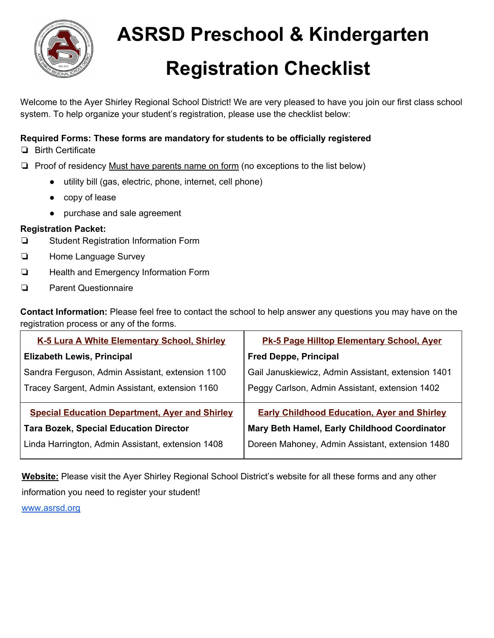

## **ASRSD Preschool & Kindergarten Registration Checklist**

Welcome to the Ayer Shirley Regional School District! We are very pleased to have you join our first class school system. To help organize your student's registration, please use the checklist below:

#### **Required Forms: These forms are mandatory for students to be officially registered**

- ❏ Birth Certificate
- ❏ Proof of residency Must have parents name on form (no exceptions to the list below)
	- utility bill (gas, electric, phone, internet, cell phone)
		- copy of lease
		- purchase and sale agreement

#### **Registration Packet:**

- ❏ Student Registration Information Form
- ❏ Home Language Survey
- ❏ Health and Emergency Information Form
- ❏ Parent Questionnaire

**Contact Information:** Please feel free to contact the school to help answer any questions you may have on the registration process or any of the forms.

| <b>K-5 Lura A White Elementary School, Shirley</b>    | <b>Pk-5 Page Hilltop Elementary School, Ayer</b>   |
|-------------------------------------------------------|----------------------------------------------------|
| <b>Elizabeth Lewis, Principal</b>                     | <b>Fred Deppe, Principal</b>                       |
| Sandra Ferguson, Admin Assistant, extension 1100      | Gail Januskiewicz, Admin Assistant, extension 1401 |
| Tracey Sargent, Admin Assistant, extension 1160       | Peggy Carlson, Admin Assistant, extension 1402     |
| <b>Special Education Department, Ayer and Shirley</b> | <b>Early Childhood Education, Ayer and Shirley</b> |
| <b>Tara Bozek, Special Education Director</b>         | Mary Beth Hamel, Early Childhood Coordinator       |
| Linda Harrington, Admin Assistant, extension 1408     | Doreen Mahoney, Admin Assistant, extension 1480    |

**Website:** Please visit the Ayer Shirley Regional School District's website for all these forms and any other information you need to register your student! [www.asrsd.org](http://www.asrsd.org/)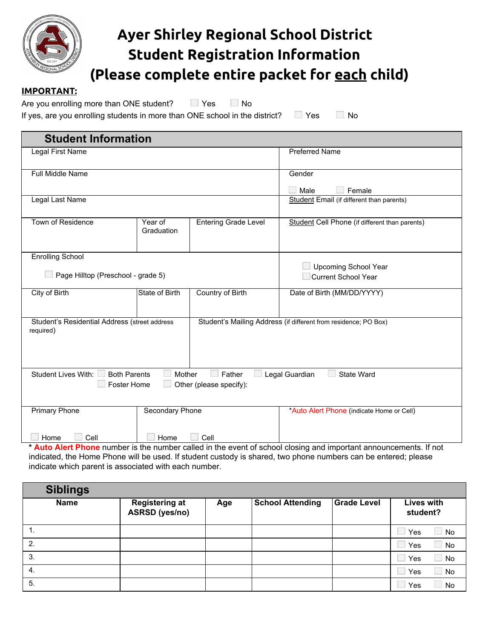

## **Ayer Shirley Regional School District Student Registration Information (Please complete entire packet for each child)**

#### **IMPORTANT:**

Are you enrolling more than ONE student?  $\Box$  Yes  $\Box$  No

If yes, are you enrolling students in more than ONE school in the district?  $\Box$  Yes  $\Box$  No

| <b>Student Information</b>                                                                                                                      |                       |                                                           |                                                                 |
|-------------------------------------------------------------------------------------------------------------------------------------------------|-----------------------|-----------------------------------------------------------|-----------------------------------------------------------------|
| Legal First Name                                                                                                                                |                       |                                                           | <b>Preferred Name</b>                                           |
| <b>Full Middle Name</b>                                                                                                                         |                       |                                                           | Gender<br>Male<br>Female                                        |
| Legal Last Name                                                                                                                                 |                       |                                                           | Student Email (if different than parents)                       |
| Town of Residence                                                                                                                               | Year of<br>Graduation | <b>Entering Grade Level</b>                               | Student Cell Phone (if different than parents)                  |
| <b>Enrolling School</b><br>Page Hilltop (Preschool - grade 5)                                                                                   |                       | <b>Upcoming School Year</b><br><b>Current School Year</b> |                                                                 |
|                                                                                                                                                 |                       |                                                           |                                                                 |
| City of Birth                                                                                                                                   | <b>State of Birth</b> | Country of Birth                                          | Date of Birth (MM/DD/YYYY)                                      |
| Student's Residential Address (street address<br>required)                                                                                      |                       |                                                           | Student's Mailing Address (if different from residence; PO Box) |
| Mother<br><b>Student Lives With:</b><br><b>Both Parents</b><br>Father<br>Legal Guardian<br>State Ward<br>Foster Home<br>Other (please specify): |                       |                                                           |                                                                 |
| Primary Phone                                                                                                                                   | Secondary Phone       |                                                           | *Auto Alert Phone (indicate Home or Cell)                       |
| Cell<br>Home<br>Cell<br>Home                                                                                                                    |                       |                                                           |                                                                 |
| * Auto Alert Phone number is the number called in the event of school closing and important announcements. If not                               |                       |                                                           |                                                                 |

indicated, the Home Phone will be used. If student custody is shared, two phone numbers can be entered; please indicate which parent is associated with each number.

| <b>Siblings</b> |                                                |     |                         |                    |                        |
|-----------------|------------------------------------------------|-----|-------------------------|--------------------|------------------------|
| <b>Name</b>     | <b>Registering at</b><br><b>ASRSD</b> (yes/no) | Age | <b>School Attending</b> | <b>Grade Level</b> | Lives with<br>student? |
|                 |                                                |     |                         |                    | No<br>Yes              |
| 2.              |                                                |     |                         |                    | <b>No</b><br>Yes       |
| 3.              |                                                |     |                         |                    | No<br>Yes              |
| 4.              |                                                |     |                         |                    | No<br>Yes              |
| 5.              |                                                |     |                         |                    | Yes<br>No              |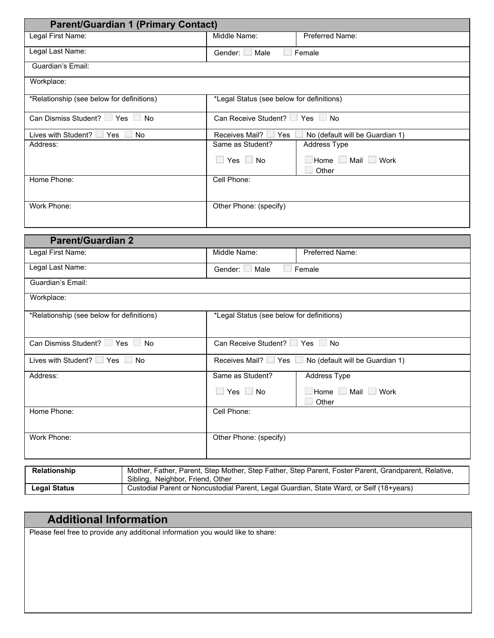| <b>Parent/Guardian 1 (Primary Contact)</b> |                                           |                                 |
|--------------------------------------------|-------------------------------------------|---------------------------------|
| Legal First Name:                          | Middle Name:                              | Preferred Name:                 |
| Legal Last Name:                           | Gender:<br>Male                           | Female                          |
| Guardian's Email:                          |                                           |                                 |
| Workplace:                                 |                                           |                                 |
| *Relationship (see below for definitions)  | *Legal Status (see below for definitions) |                                 |
| Can Dismiss Student?   Yes  <br>No         | Can Receive Student?                      | $Yes \Box No$                   |
| Lives with Student? I<br>∟ Yes<br>No.      | Receives Mail?<br>Yes                     | No (default will be Guardian 1) |
| Address:                                   | Same as Student?                          | Address Type                    |
|                                            | $Yes \Box No$<br>i s                      | Home Mail Work                  |
|                                            |                                           | Other                           |
| Home Phone:                                | Cell Phone:                               |                                 |
| Work Phone:                                | Other Phone: (specify)                    |                                 |

| <b>Parent/Guardian 2</b>                           |                                                           |                                                                                                      |  |  |
|----------------------------------------------------|-----------------------------------------------------------|------------------------------------------------------------------------------------------------------|--|--|
| Legal First Name:                                  | Middle Name:                                              | Preferred Name:                                                                                      |  |  |
| Legal Last Name:                                   | Male<br>Gender: L                                         | Female                                                                                               |  |  |
| Guardian's Email:                                  |                                                           |                                                                                                      |  |  |
| Workplace:                                         |                                                           |                                                                                                      |  |  |
| *Relationship (see below for definitions)          | *Legal Status (see below for definitions)                 |                                                                                                      |  |  |
| Can Dismiss Student?   Yes  <br><b>No</b>          | Can Receive Student?   Yes  <br><b>No</b>                 |                                                                                                      |  |  |
| Lives with Student? $\Box$ Yes $\Box$<br><b>No</b> | Receives Mail?   Yes  <br>No (default will be Guardian 1) |                                                                                                      |  |  |
| Address:                                           | Same as Student?                                          | Address Type                                                                                         |  |  |
|                                                    | $\Box$ Yes $\Box$ No                                      | Home Mail Work<br>Other                                                                              |  |  |
| Home Phone:                                        | Cell Phone:                                               |                                                                                                      |  |  |
| Work Phone:                                        | Other Phone: (specify)                                    |                                                                                                      |  |  |
| Relationship<br>Sibling, Neighbor, Friend, Other   |                                                           | Mother, Father, Parent, Step Mother, Step Father, Step Parent, Foster Parent, Grandparent, Relative, |  |  |

#### **Legal Status Custodial Parent or Noncustodial Parent, Legal Guardian, State Ward, or Self (18+years)**

#### **Additional Information**

Please feel free to provide any additional information you would like to share: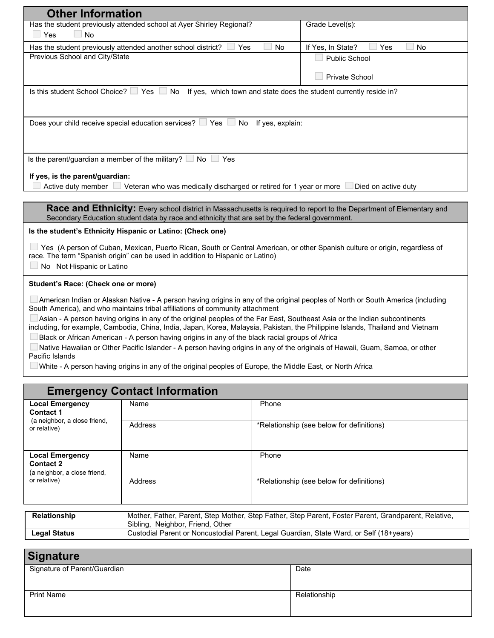| <b>Other Information</b>                                                                                                                                                                                               |                                |  |
|------------------------------------------------------------------------------------------------------------------------------------------------------------------------------------------------------------------------|--------------------------------|--|
| Has the student previously attended school at Ayer Shirley Regional?                                                                                                                                                   | Grade Level(s):                |  |
| a li<br>Yes<br>$\overline{\phantom{a}}$ No                                                                                                                                                                             |                                |  |
| Has the student previously attended another school district?<br>Yes<br>No                                                                                                                                              | If Yes, In State?<br>Yes<br>No |  |
| Previous School and City/State                                                                                                                                                                                         | <b>Public School</b>           |  |
|                                                                                                                                                                                                                        | Private School                 |  |
|                                                                                                                                                                                                                        |                                |  |
| Is this student School Choice?   Yes  <br>No<br>If yes, which town and state does the student currently reside in?                                                                                                     |                                |  |
|                                                                                                                                                                                                                        |                                |  |
| Does your child receive special education services? Ves<br>No If yes, explain:                                                                                                                                         |                                |  |
|                                                                                                                                                                                                                        |                                |  |
|                                                                                                                                                                                                                        |                                |  |
| Is the parent/guardian a member of the military? $\Box$ No $\Box$ Yes                                                                                                                                                  |                                |  |
|                                                                                                                                                                                                                        |                                |  |
| If yes, is the parent/guardian:                                                                                                                                                                                        |                                |  |
| Active duty member $\Box$ Veteran who was medically discharged or retired for 1 year or more<br>Died on active duty                                                                                                    |                                |  |
|                                                                                                                                                                                                                        |                                |  |
| Race and Ethnicity: Every school district in Massachusetts is required to report to the Department of Elementary and<br>Secondary Education student data by race and ethnicity that are set by the federal government. |                                |  |
|                                                                                                                                                                                                                        |                                |  |
| Is the student's Ethnicity Hispanic or Latino: (Check one)                                                                                                                                                             |                                |  |
| □ Yes (A person of Cuban, Mexican, Puerto Rican, South or Central American, or other Spanish culture or origin, regardless of                                                                                          |                                |  |
| race. The term "Spanish origin" can be used in addition to Hispanic or Latino)                                                                                                                                         |                                |  |
| No Not Hispanic or Latino                                                                                                                                                                                              |                                |  |
| Student's Race: (Check one or more)                                                                                                                                                                                    |                                |  |
| American Indian or Alaskan Native - A person having origins in any of the original peoples of North or South America (including                                                                                        |                                |  |
| South America), and who maintains tribal affiliations of community attachment                                                                                                                                          |                                |  |
| Asian - A person having origins in any of the original peoples of the Far East, Southeast Asia or the Indian subcontinents                                                                                             |                                |  |
| including, for example, Cambodia, China, India, Japan, Korea, Malaysia, Pakistan, the Philippine Islands, Thailand and Vietnam                                                                                         |                                |  |
| Black or African American - A person having origins in any of the black racial groups of Africa                                                                                                                        |                                |  |
| Native Hawaiian or Other Pacific Islander - A person having origins in any of the originals of Hawaii, Guam, Samoa, or other<br>Pacific Islands                                                                        |                                |  |
| White - A person having origins in any of the original peoples of Europe, the Middle East, or North Africa                                                                                                             |                                |  |

| <b>Emergency Contact Information</b>                                       |                                                                                                                                          |                                           |
|----------------------------------------------------------------------------|------------------------------------------------------------------------------------------------------------------------------------------|-------------------------------------------|
| <b>Local Emergency</b><br><b>Contact 1</b>                                 | Name                                                                                                                                     | Phone                                     |
| (a neighbor, a close friend,<br>or relative)                               | Address                                                                                                                                  | *Relationship (see below for definitions) |
| <b>Local Emergency</b><br><b>Contact 2</b><br>(a neighbor, a close friend, | Name                                                                                                                                     | Phone                                     |
| or relative)<br>Address                                                    |                                                                                                                                          | *Relationship (see below for definitions) |
| <b>Relationship</b>                                                        | Mother, Father, Parent, Step Mother, Step Father, Step Parent, Foster Parent, Grandparent, Relative,<br>Sibling, Neighbor, Friend, Other |                                           |

| <b>Signature</b>    |                                                                                         |
|---------------------|-----------------------------------------------------------------------------------------|
|                     |                                                                                         |
| <b>Legal Status</b> | Custodial Parent or Noncustodial Parent, Legal Guardian, State Ward, or Self (18+years) |
|                     | Sibilng, Neignbor, Friend, Other                                                        |

| <b>Production</b>            |              |
|------------------------------|--------------|
| Signature of Parent/Guardian | Date         |
|                              |              |
|                              |              |
| <b>Print Name</b>            | Relationship |
|                              |              |
|                              |              |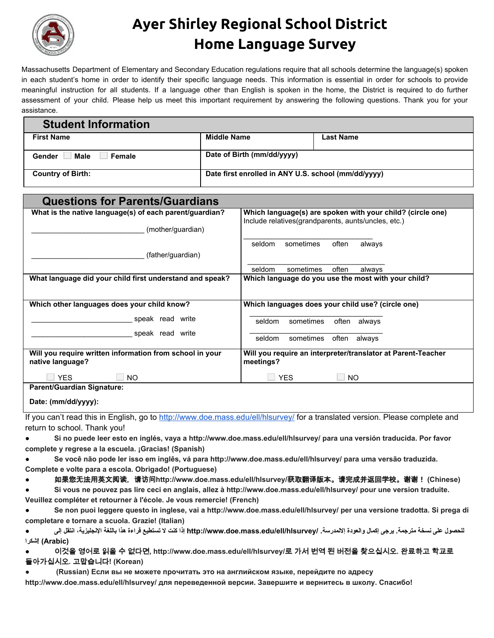

## **Ayer Shirley Regional School District Home Language Survey**

Massachusetts Department of Elementary and Secondary Education regulations require that all schools determine the language(s) spoken in each student's home in order to identify their specific language needs. This information is essential in order for schools to provide meaningful instruction for all students. If a language other than English is spoken in the home, the District is required to do further assessment of your child. Please help us meet this important requirement by answering the following questions. Thank you for your assistance.

| <b>Student Information</b>      |                                                     |                  |
|---------------------------------|-----------------------------------------------------|------------------|
| <b>First Name</b>               | <b>Middle Name</b>                                  | <b>Last Name</b> |
| Male<br>Female<br><b>Gender</b> | Date of Birth (mm/dd/yyyy)                          |                  |
| <b>Country of Birth:</b>        | Date first enrolled in ANY U.S. school (mm/dd/yyyy) |                  |

| <b>Questions for Parents/Guardians</b>                                       |                                                                                                                    |
|------------------------------------------------------------------------------|--------------------------------------------------------------------------------------------------------------------|
| What is the native language(s) of each parent/guardian?                      | Which language(s) are spoken with your child? (circle one)<br>Include relatives (grandparents, aunts/uncles, etc.) |
| (mother/guardian)                                                            |                                                                                                                    |
|                                                                              | sometimes<br>often<br>always<br>seldom                                                                             |
| (father/guardian)                                                            |                                                                                                                    |
|                                                                              | often<br>seldom<br>sometimes<br>always                                                                             |
| What language did your child first understand and speak?                     | Which language do you use the most with your child?                                                                |
| Which other languages does your child know?                                  | Which languages does your child use? (circle one)                                                                  |
| speak read write<br>speak read write                                         | seldom<br>sometimes<br>often<br>always                                                                             |
|                                                                              | sometimes<br>often<br>seldom<br>always                                                                             |
| Will you require written information from school in your<br>native language? | Will you require an interpreter/translator at Parent-Teacher<br>meetings?                                          |
| <b>YES</b><br><b>NO</b>                                                      | <b>YES</b><br><b>NO</b>                                                                                            |
| <b>Parent/Guardian Signature:</b>                                            |                                                                                                                    |

**Date: (mm/dd/yyyy):**

If you can't read this in English, go to <http://www.doe.mass.edu/ell/hlsurvey/> for a translated version. Please complete and return to school. Thank you!

- **● Si no puede leer esto en inglés, vaya a http://www.doe.mass.edu/ell/hlsurvey/ para una versión traducida. Por favor**
- **complete y regrese a la escuela. ¡Gracias! (Spanish) ● Se você não pode ler isso em inglês, vá para http://www.doe.mass.edu/ell/hlsurvey/ para uma versão traduzida.**

**Complete e volte para a escola. Obrigado! (Portuguese)**

- **●** 如果您无法用英文阅读,请访问**http://www.doe.mass.edu/ell/hlsurvey/**获取翻译版本。请完成并返回学校。谢谢! **(Chinese)**
- **● Si vous ne pouvez pas lire ceci en anglais, allez à http://www.doe.mass.edu/ell/hlsurvey/ pour une version traduite. Veuillez compléter et retourner à l'école. Je vous remercie! (French)**
- **● Se non puoi leggere questo in inglese, vai a http://www.doe.mass.edu/ell/hlsurvey/ per una versione tradotta. Si prega di completare e tornare a scuola. Grazie! (Italian)**
- **للحصول على نسخة مترجمة. یرجى إكمال والعودة إلالمدرسة. /hlsurvey/ell/edu.mass.doe.www://http إذا كنت لا تستطیع قراءة هذا باللغة الإنجلیزیة، انتقل إلى ● (Arabic! (شكرا**
- **●** 이것을 영어로 읽을 수 없다면**, http://www.doe.mass.edu/ell/hlsurvey/**로 가서 번역 된 버전을 찾으십시오**.** 완료하고 학교로 돌아가십시오**.** 고맙습니다**! (Korean)**
- **(Russian) Если вы не можете прочитать это на английском языке, перейдите по адресу**
- **http://www.doe.mass.edu/ell/hlsurvey/ для переведенной версии. Завершите и вернитесь в школу. Спасибо!**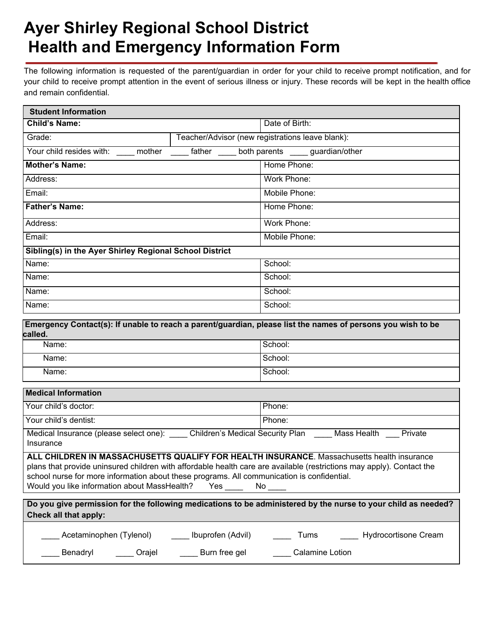## **Ayer Shirley Regional School District Health and Emergency Information Form**

The following information is requested of the parent/guardian in order for your child to receive prompt notification, and for your child to receive prompt attention in the event of serious illness or injury. These records will be kept in the health office and remain confidential.

| <b>Student Information</b>                                                                                                                                                                                                                                                                                                                                                     |  |                                                                                                             |  |
|--------------------------------------------------------------------------------------------------------------------------------------------------------------------------------------------------------------------------------------------------------------------------------------------------------------------------------------------------------------------------------|--|-------------------------------------------------------------------------------------------------------------|--|
| <b>Child's Name:</b>                                                                                                                                                                                                                                                                                                                                                           |  | Date of Birth:                                                                                              |  |
| Grade:                                                                                                                                                                                                                                                                                                                                                                         |  | Teacher/Advisor (new registrations leave blank):                                                            |  |
| Your child resides with: _____ mother _____ father ____ both parents ____ guardian/other                                                                                                                                                                                                                                                                                       |  |                                                                                                             |  |
| <b>Mother's Name:</b>                                                                                                                                                                                                                                                                                                                                                          |  | Home Phone:                                                                                                 |  |
| Address:                                                                                                                                                                                                                                                                                                                                                                       |  | Work Phone:                                                                                                 |  |
| Email:                                                                                                                                                                                                                                                                                                                                                                         |  | Mobile Phone:                                                                                               |  |
| <b>Father's Name:</b>                                                                                                                                                                                                                                                                                                                                                          |  | Home Phone:                                                                                                 |  |
| Address:                                                                                                                                                                                                                                                                                                                                                                       |  | Work Phone:                                                                                                 |  |
| Email:                                                                                                                                                                                                                                                                                                                                                                         |  | Mobile Phone:                                                                                               |  |
| Sibling(s) in the Ayer Shirley Regional School District                                                                                                                                                                                                                                                                                                                        |  |                                                                                                             |  |
| Name:                                                                                                                                                                                                                                                                                                                                                                          |  | School:                                                                                                     |  |
| Name:                                                                                                                                                                                                                                                                                                                                                                          |  | School:                                                                                                     |  |
| Name:                                                                                                                                                                                                                                                                                                                                                                          |  | School:                                                                                                     |  |
| Name:                                                                                                                                                                                                                                                                                                                                                                          |  | School:                                                                                                     |  |
| called.                                                                                                                                                                                                                                                                                                                                                                        |  | Emergency Contact(s): If unable to reach a parent/guardian, please list the names of persons you wish to be |  |
| Name:                                                                                                                                                                                                                                                                                                                                                                          |  | School:                                                                                                     |  |
| Name:                                                                                                                                                                                                                                                                                                                                                                          |  | School:                                                                                                     |  |
| Name:                                                                                                                                                                                                                                                                                                                                                                          |  | School:                                                                                                     |  |
| <b>Medical Information</b>                                                                                                                                                                                                                                                                                                                                                     |  |                                                                                                             |  |
| Your child's doctor:                                                                                                                                                                                                                                                                                                                                                           |  | Phone:                                                                                                      |  |
| Your child's dentist:                                                                                                                                                                                                                                                                                                                                                          |  | Phone:                                                                                                      |  |
| Medical Insurance (please select one): Children's Medical Security Plan Mass Health<br>Private<br>Insurance                                                                                                                                                                                                                                                                    |  |                                                                                                             |  |
| ALL CHILDREN IN MASSACHUSETTS QUALIFY FOR HEALTH INSURANCE. Massachusetts health insurance<br>plans that provide uninsured children with affordable health care are available (restrictions may apply). Contact the<br>school nurse for more information about these programs. All communication is confidential.<br>Would you like information about MassHealth?<br>Yes<br>No |  |                                                                                                             |  |
| Do you give permission for the following medications to be administered by the nurse to your child as needed?<br>Check all that apply:                                                                                                                                                                                                                                         |  |                                                                                                             |  |

| Acetaminophen (Tylenol) | Ibuprofen (Advil) | l ums | <b>Hydrocortisone Cream</b> |
|-------------------------|-------------------|-------|-----------------------------|
|                         |                   |       |                             |

Benadryl \_\_\_\_\_\_ Orajel \_\_\_\_\_\_\_ Burn free gel \_\_\_\_\_\_\_ Calamine Lotion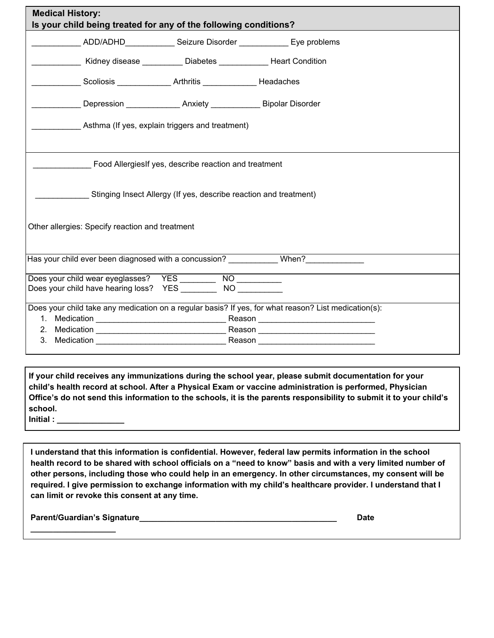| <b>Medical History:</b><br>Is your child being treated for any of the following conditions? |                                                                   |                                                                                   |                                                                                                      |  |  |
|---------------------------------------------------------------------------------------------|-------------------------------------------------------------------|-----------------------------------------------------------------------------------|------------------------------------------------------------------------------------------------------|--|--|
|                                                                                             |                                                                   |                                                                                   | _____________ ADD/ADHD_____________ Seizure Disorder _____________ Eye problems                      |  |  |
|                                                                                             |                                                                   | Kidney disease ___________ Diabetes ______________ Heart Condition                |                                                                                                      |  |  |
|                                                                                             |                                                                   | Scoliosis Arthritis Headaches                                                     |                                                                                                      |  |  |
|                                                                                             |                                                                   | Letter Channel and Depression Letter Land Anxiety Letter Library Bipolar Disorder |                                                                                                      |  |  |
|                                                                                             | Asthma (If yes, explain triggers and treatment)                   |                                                                                   |                                                                                                      |  |  |
|                                                                                             | Food Allergies If yes, describe reaction and treatment            |                                                                                   |                                                                                                      |  |  |
|                                                                                             | Stinging Insect Allergy (If yes, describe reaction and treatment) |                                                                                   |                                                                                                      |  |  |
| Other allergies: Specify reaction and treatment                                             |                                                                   |                                                                                   |                                                                                                      |  |  |
|                                                                                             |                                                                   |                                                                                   | Has your child ever been diagnosed with a concussion? ___________ When?_________                     |  |  |
| Does your child wear eyeglasses? YES ________<br>Does your child have hearing loss? YES     |                                                                   | $\overline{NO}$<br>NO                                                             |                                                                                                      |  |  |
|                                                                                             |                                                                   |                                                                                   | Does your child take any medication on a regular basis? If yes, for what reason? List medication(s): |  |  |
|                                                                                             |                                                                   |                                                                                   |                                                                                                      |  |  |
|                                                                                             |                                                                   |                                                                                   |                                                                                                      |  |  |
|                                                                                             |                                                                   |                                                                                   |                                                                                                      |  |  |

**If your child receives any immunizations during the school year, please submit documentation for your child's health record at school. After a Physical Exam or vaccine administration is performed, Physician** Office's do not send this information to the schools, it is the parents responsibility to submit it to your child's **school.**

**Initial : \_\_\_\_\_\_\_\_\_\_\_\_\_\_\_**

**I understand that this information is confidential. However, federal law permits information in the school** health record to be shared with school officials on a "need to know" basis and with a very limited number of **other persons, including those who could help in an emergency. In other circumstances, my consent will be required. I give permission to exchange information with my child's healthcare provider. I understand that I can limit or revoke this consent at any time.**

**Parent/Guardian's Signature\_\_\_\_\_\_\_\_\_\_\_\_\_\_\_\_\_\_\_\_\_\_\_\_\_\_\_\_\_\_\_\_\_\_\_\_\_\_\_\_\_\_\_\_ Date**

**\_\_\_\_\_\_\_\_\_\_\_\_\_\_\_\_\_\_\_**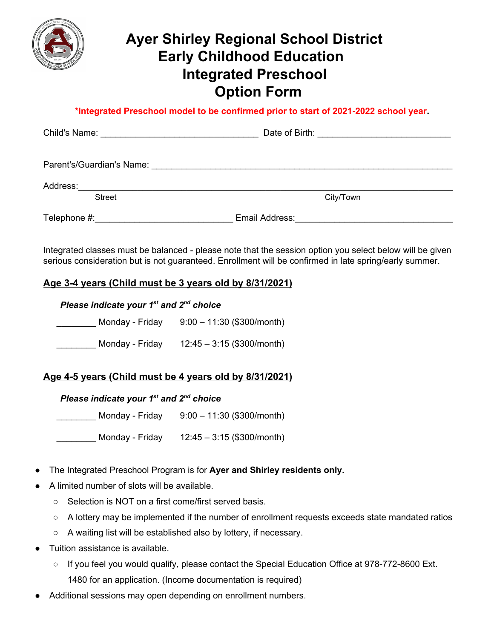

## **Ayer Shirley Regional School District Early Childhood Education Integrated Preschool Option Form**

 **\*Integrated Preschool model to be confirmed prior to start of 2021-2022 school year.**

|                           | Date of Birth:<br><u> 1989 - Andrea Andrew Maria (h. 1989).</u> |
|---------------------------|-----------------------------------------------------------------|
|                           |                                                                 |
| Address:<br><b>Street</b> | City/Town                                                       |
| Telephone #:              | Email Address:                                                  |

Integrated classes must be balanced - please note that the session option you select below will be given serious consideration but is not guaranteed. Enrollment will be confirmed in late spring/early summer.

#### **Age 3-4 years (Child must be 3 years old by 8/31/2021)**

*Please indicate your 1 st and 2 nd choice*

\_\_\_\_\_\_\_\_ Monday - Friday 9:00 – 11:30 (\$300/month) \_\_\_\_\_\_\_\_ Monday - Friday 12:45 – 3:15 (\$300/month)

#### **Age 4-5 years (Child must be 4 years old by 8/31/2021)**

#### *Please indicate your 1 st and 2 nd choice*

\_\_\_\_\_\_\_\_ Monday - Friday 9:00 – 11:30 (\$300/month)

\_\_\_\_\_\_\_\_ Monday - Friday 12:45 – 3:15 (\$300/month)

- The Integrated Preschool Program is for **Ayer and Shirley residents only.**
- A limited number of slots will be available.
	- Selection is NOT on a first come/first served basis.
	- A lottery may be implemented if the number of enrollment requests exceeds state mandated ratios
	- A waiting list will be established also by lottery, if necessary.
- Tuition assistance is available.
	- If you feel you would qualify, please contact the Special Education Office at 978-772-8600 Ext. 1480 for an application. (Income documentation is required)
- Additional sessions may open depending on enrollment numbers.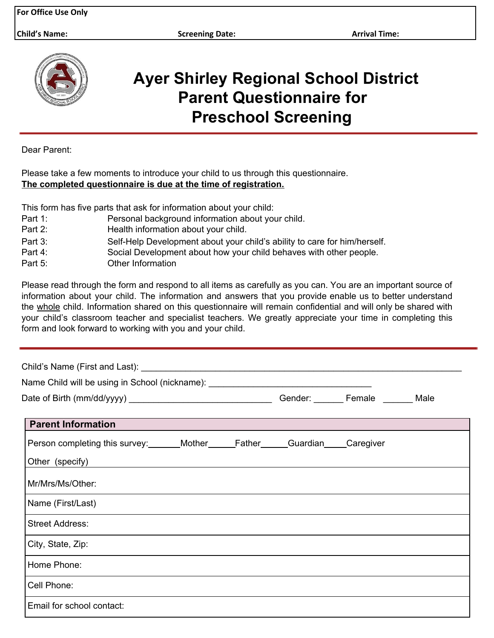**Child's Name: Screening Date: Arrival Time:**



## **Ayer Shirley Regional School District Parent Questionnaire for Preschool Screening**

Dear Parent:

Please take a few moments to introduce your child to us through this questionnaire. **The completed questionnaire is due at the time of registration.**

This form has five parts that ask for information about your child:

- Part 1: Personal background information about your child.
- Part 2: Health information about your child.
- Part 3: Self-Help Development about your child's ability to care for him/herself.
- Part 4: Social Development about how your child behaves with other people.
- Part 5: **Other Information**

Please read through the form and respond to all items as carefully as you can. You are an important source of information about your child. The information and answers that you provide enable us to better understand the whole child. Information shared on this questionnaire will remain confidential and will only be shared with your child's classroom teacher and specialist teachers. We greatly appreciate your time in completing this form and look forward to working with you and your child.

| Name Child will be using in School (nickname): _________________________________    |  |                                     |  |
|-------------------------------------------------------------------------------------|--|-------------------------------------|--|
|                                                                                     |  | Gender: _______ Female _______ Male |  |
| <b>Parent Information</b>                                                           |  |                                     |  |
| Person completing this survey:_______Mother______Father______Guardian_____Caregiver |  |                                     |  |
| Other (specify)                                                                     |  |                                     |  |
| Mr/Mrs/Ms/Other:                                                                    |  |                                     |  |
| Name (First/Last)                                                                   |  |                                     |  |
| <b>Street Address:</b>                                                              |  |                                     |  |
| City, State, Zip:                                                                   |  |                                     |  |
| Home Phone:                                                                         |  |                                     |  |
| Cell Phone:                                                                         |  |                                     |  |
| Email for school contact:                                                           |  |                                     |  |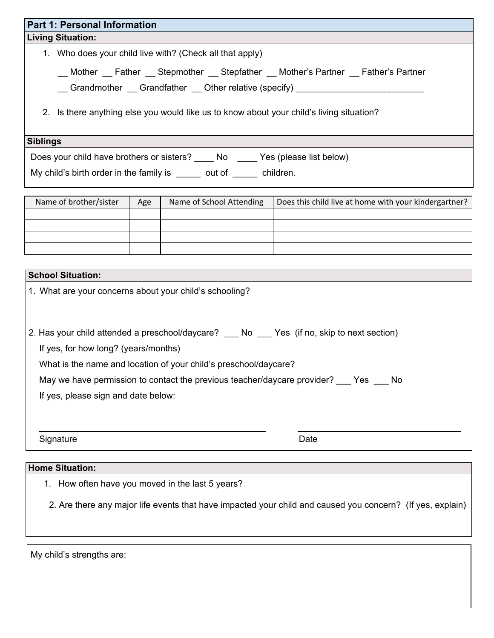## **Part 1: Personal Information Living Situation:** 1. Who does your child live with? (Check all that apply) \_\_ Mother \_\_ Father \_\_ Stepmother \_\_ Stepfather \_\_ Mother's Partner \_\_ Father's Partner \_\_ Grandmother \_\_ Grandfather \_\_ Other relative (specify) \_\_\_\_\_\_\_\_\_\_\_\_\_\_\_\_\_\_\_\_\_\_\_\_\_\_ 2. Is there anything else you would like us to know about your child's living situation?

#### **Siblings**

Does your child have brothers or sisters? \_\_\_\_\_ No \_\_\_\_\_ Yes (please list below)

My child's birth order in the family is \_\_\_\_\_\_ out of \_\_\_\_\_\_ children.

| Name of brother/sister | Age | Name of School Attending | Does this child live at home with your kindergartner? |
|------------------------|-----|--------------------------|-------------------------------------------------------|
|                        |     |                          |                                                       |
|                        |     |                          |                                                       |
|                        |     |                          |                                                       |
|                        |     |                          |                                                       |

#### **School Situation:**

|  |  |  |  | 1. What are your concerns about your child's schooling? |
|--|--|--|--|---------------------------------------------------------|
|--|--|--|--|---------------------------------------------------------|

2. Has your child attended a preschool/daycare? No Yes (if no, skip to next section)

If yes, for how long? (years/months)

What is the name and location of your child's preschool/daycare?

May we have permission to contact the previous teacher/daycare provider? \_\_\_ Yes \_\_\_ No

If yes, please sign and date below:

Signature Date **Date** 

#### **Home Situation:**

1. How often have you moved in the last 5 years?

2. Are there any major life events that have impacted your child and caused you concern? (If yes, explain)

\_\_\_\_\_\_\_\_\_\_\_\_\_\_\_\_\_\_\_\_\_\_\_\_\_\_\_\_\_\_\_\_\_\_\_\_\_\_\_\_\_\_\_\_\_\_ \_\_\_\_\_\_\_\_\_\_\_\_\_\_\_\_\_\_\_\_\_\_\_\_\_\_\_\_\_\_\_\_\_

My child's strengths are: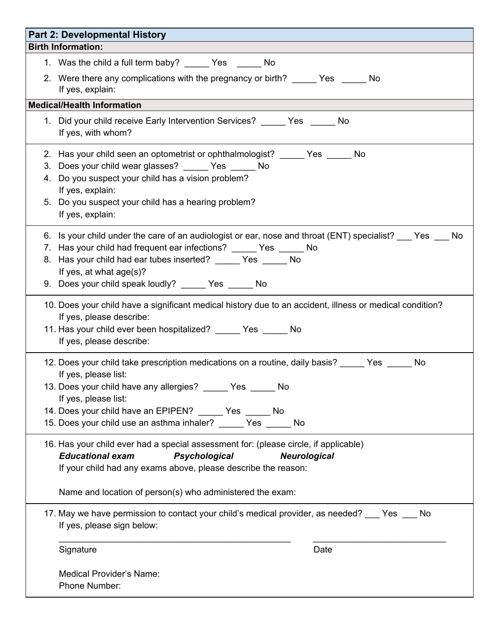| <b>Part 2: Developmental History</b>                                                                                                                                                                                                                                                                                                       |
|--------------------------------------------------------------------------------------------------------------------------------------------------------------------------------------------------------------------------------------------------------------------------------------------------------------------------------------------|
| <b>Birth Information:</b>                                                                                                                                                                                                                                                                                                                  |
| 1. Was the child a full term baby? _______ Yes ________ No                                                                                                                                                                                                                                                                                 |
| 2. Were there any complications with the pregnancy or birth? _____ Yes _____ No<br>If yes, explain:                                                                                                                                                                                                                                        |
| <b>Medical/Health Information</b>                                                                                                                                                                                                                                                                                                          |
| 1. Did your child receive Early Intervention Services? ______ Yes ______ No<br>If yes, with whom?                                                                                                                                                                                                                                          |
| 2. Has your child seen an optometrist or ophthalmologist? ______ Yes ______ No<br>3. Does your child wear glasses? ______ Yes ______ No<br>4. Do you suspect your child has a vision problem?<br>If yes, explain:<br>5. Do you suspect your child has a hearing problem?<br>If yes, explain:                                               |
| 6. Is your child under the care of an audiologist or ear, nose and throat (ENT) specialist? ___ Yes ___ No<br>7. Has your child had frequent ear infections? ______ Yes ______ No<br>8. Has your child had ear tubes inserted? ______ Yes ______ No<br>If yes, at what age(s)?<br>9. Does your child speak loudly? ______ Yes ______ No    |
| 10. Does your child have a significant medical history due to an accident, illness or medical condition?<br>If yes, please describe:<br>11. Has your child ever been hospitalized? ______ Yes ______ No<br>If yes, please describe:                                                                                                        |
| 12. Does your child take prescription medications on a routine, daily basis? _____ Yes _____ No<br>If yes, please list:<br>13. Does your child have any allergies? _____ Yes _____ No<br>If yes, please list:<br>14. Does your child have an EPIPEN? _____ Yes _____ No<br>15. Does your child use an asthma inhaler? ______ Yes ______ No |
| 16. Has your child ever had a special assessment for: (please circle, if applicable)<br><b>Educational exam</b><br><b>Psychological</b><br><b>Neurological</b><br>If your child had any exams above, please describe the reason:<br>Name and location of person(s) who administered the exam:                                              |
| 17. May we have permission to contact your child's medical provider, as needed? ___ Yes ___ No<br>If yes, please sign below:                                                                                                                                                                                                               |
| Signature<br>Date                                                                                                                                                                                                                                                                                                                          |
| Medical Provider's Name:<br>Phone Number:                                                                                                                                                                                                                                                                                                  |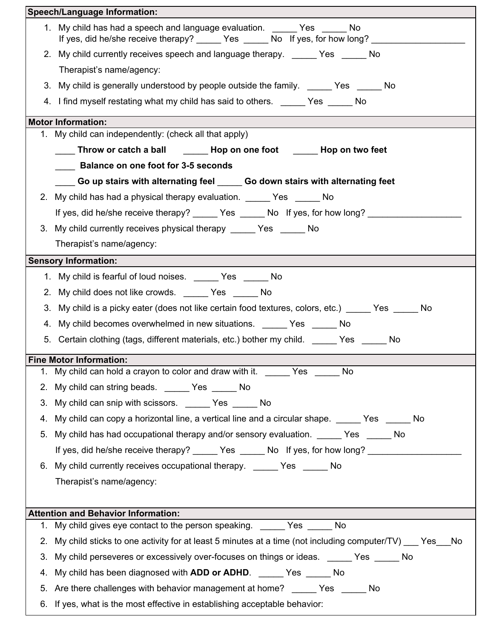|    | <b>Speech/Language Information:</b>                                                                                                                              |
|----|------------------------------------------------------------------------------------------------------------------------------------------------------------------|
|    | 1. My child has had a speech and language evaluation. ______ Yes No<br>If yes, did he/she receive therapy? ______ Yes ______ No If yes, for how long? __________ |
|    | 2. My child currently receives speech and language therapy. _____ Yes _____ No                                                                                   |
|    | Therapist's name/agency:                                                                                                                                         |
|    | 3. My child is generally understood by people outside the family. ______ Yes ______ No                                                                           |
|    | 4. I find myself restating what my child has said to others. ______ Yes ______ No                                                                                |
|    | <b>Motor Information:</b>                                                                                                                                        |
|    | 1. My child can independently: (check all that apply)                                                                                                            |
|    | ____ Throw or catch a ball _______ Hop on one foot ______ Hop on two feet                                                                                        |
|    | <b>Example 1 Balance on one foot for 3-5 seconds</b>                                                                                                             |
|    | ____ Go up stairs with alternating feel _____ Go down stairs with alternating feet                                                                               |
|    | 2. My child has had a physical therapy evaluation. ______ Yes ______ No                                                                                          |
|    | If yes, did he/she receive therapy? ______ Yes ______ No If yes, for how long? ________                                                                          |
|    | 3. My child currently receives physical therapy ______ Yes ______ No                                                                                             |
|    | Therapist's name/agency:                                                                                                                                         |
|    | <b>Sensory Information:</b>                                                                                                                                      |
|    | 1. My child is fearful of loud noises. _______ Yes ______ No                                                                                                     |
|    | 2. My child does not like crowds. No Yes No                                                                                                                      |
| 3. | My child is a picky eater (does not like certain food textures, colors, etc.) _____ Yes _____ No                                                                 |
|    | 4. My child becomes overwhelmed in new situations. ______ Yes _____ No                                                                                           |
|    | 5. Certain clothing (tags, different materials, etc.) bother my child. ______ Yes _____ No                                                                       |
|    | <b>Fine Motor Information:</b>                                                                                                                                   |
|    | 1. My child can hold a crayon to color and draw with it. _______ Yes ______ No                                                                                   |
|    | 2. My child can string beads. ______ Yes _____ No                                                                                                                |
| 3. | My child can snip with scissors. _______ Yes _______ No                                                                                                          |
| 4. | My child can copy a horizontal line, a vertical line and a circular shape. _____ Yes _____ No                                                                    |
| 5. | My child has had occupational therapy and/or sensory evaluation. ______ Yes ______ No                                                                            |
|    | If yes, did he/she receive therapy? ______ Yes ______ No If yes, for how long? ____________________                                                              |
|    | 6. My child currently receives occupational therapy. _____ Yes _____ No                                                                                          |
|    | Therapist's name/agency:                                                                                                                                         |
|    |                                                                                                                                                                  |
|    | <b>Attention and Behavior Information:</b>                                                                                                                       |
|    | 1. My child gives eye contact to the person speaking. ______ Yes ______ No                                                                                       |
|    | 2. My child sticks to one activity for at least 5 minutes at a time (not including computer/TV) ___ Yes___No                                                     |
| 3. | My child perseveres or excessively over-focuses on things or ideas. ______ Yes _____ No                                                                          |
| 4. | My child has been diagnosed with ADD or ADHD. ______ Yes _____ No                                                                                                |
| 5. | Are there challenges with behavior management at home? _______ Yes _______ No                                                                                    |
|    | 6. If yes, what is the most effective in establishing acceptable behavior:                                                                                       |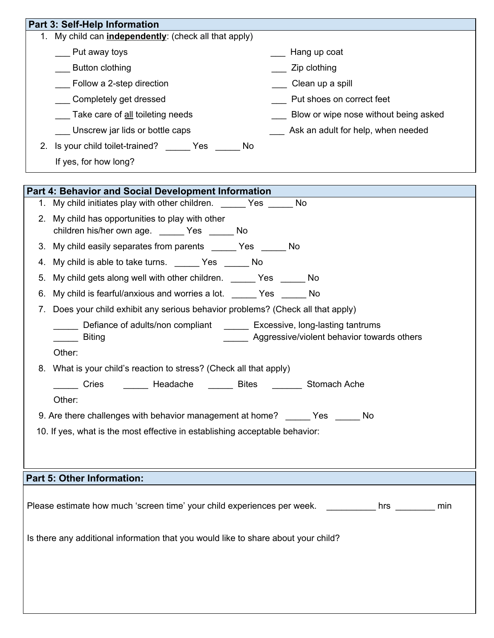|    | Part 3: Self-Help Information                                                                                                     |
|----|-----------------------------------------------------------------------------------------------------------------------------------|
|    | 1. My child can <i>independently</i> : (check all that apply)                                                                     |
|    | ___ Put away toys<br>____ Hang up coat                                                                                            |
|    | Zip clothing<br>Button clothing                                                                                                   |
|    | Follow a 2-step direction<br>___ Clean up a spill                                                                                 |
|    | Put shoes on correct feet<br>____ Completely get dressed                                                                          |
|    | Blow or wipe nose without being asked<br>Take care of all toileting needs                                                         |
|    | ___ Unscrew jar lids or bottle caps<br>Ask an adult for help, when needed                                                         |
|    | 2. Is your child toilet-trained? ______ Yes _____ No                                                                              |
|    | If yes, for how long?                                                                                                             |
|    | <b>Part 4: Behavior and Social Development Information</b>                                                                        |
| 1. | My child initiates play with other children. No No                                                                                |
|    | 2. My child has opportunities to play with other<br>children his/her own age. ______ Yes _____ No                                 |
|    | 3. My child easily separates from parents _______ Yes ______ No                                                                   |
|    | 4. My child is able to take turns. _______ Yes _______ No                                                                         |
| 5. | My child gets along well with other children. _______ Yes ______ No                                                               |
| 6. | My child is fearful/anxious and worries a lot. ______ Yes ______ No                                                               |
| 7. | Does your child exhibit any serious behavior problems? (Check all that apply)                                                     |
|    | Lefiance of adults/non compliant Nettler Excessive, long-lasting tantrums<br>Aggressive/violent behavior towards others<br>Biting |
|    | Other:                                                                                                                            |
|    | 8. What is your child's reaction to stress? (Check all that apply)                                                                |
|    | ______ Cries ________ Headache _______ Bites _______ Stomach Ache                                                                 |
|    | Other:                                                                                                                            |
|    | 9. Are there challenges with behavior management at home? ______ Yes ______ No                                                    |
|    | 10. If yes, what is the most effective in establishing acceptable behavior:                                                       |
|    |                                                                                                                                   |
|    |                                                                                                                                   |
|    | <b>Part 5: Other Information:</b>                                                                                                 |
|    |                                                                                                                                   |
|    | Please estimate how much 'screen time' your child experiences per week. _________ hrs _______<br>min                              |
|    | Is there any additional information that you would like to share about your child?                                                |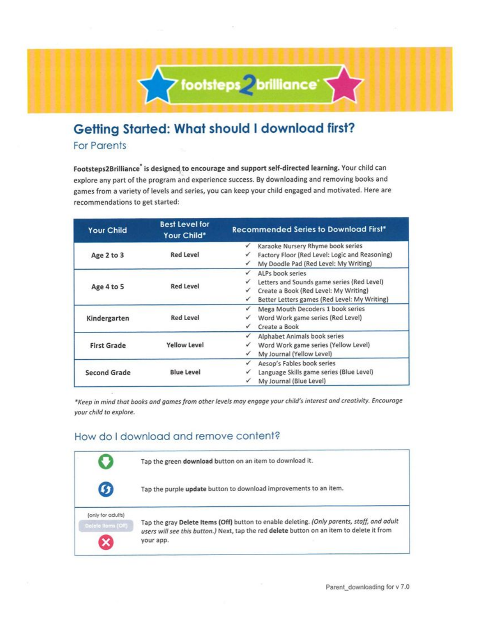

## Getting Started: What should I download first?

**For Parents** 

Footsteps2Brilliance is designed to encourage and support self-directed learning. Your child can explore any part of the program and experience success. By downloading and removing books and games from a variety of levels and series, you can keep your child engaged and motivated. Here are recommendations to get started:

| <b>Your Child</b>   | <b>Best Level for</b><br>Your Child* | <b>Recommended Series to Download First*</b>      |
|---------------------|--------------------------------------|---------------------------------------------------|
|                     |                                      | Karaoke Nursery Rhyme book series                 |
| Age 2 to 3          | <b>Red Level</b>                     | Factory Floor (Red Level: Logic and Reasoning)    |
|                     |                                      | My Doodle Pad (Red Level: My Writing)<br>✓        |
|                     |                                      | ALPs book series<br>✓                             |
| Age 4 to 5          | <b>Red Level</b>                     | Letters and Sounds game series (Red Level)        |
|                     |                                      | Create a Book (Red Level: My Writing)<br>✓        |
|                     |                                      | Better Letters games (Red Level: My Writing)<br>✓ |
|                     |                                      | Mega Mouth Decoders 1 book series                 |
| Kindergarten        | <b>Red Level</b>                     | Word Work game series (Red Level)                 |
|                     |                                      | Create a Book<br>✓                                |
|                     |                                      | Alphabet Animals book series<br>✓                 |
| <b>First Grade</b>  | <b>Yellow Level</b>                  | Word Work game series (Yellow Level)              |
|                     |                                      | My Journal (Yellow Level)                         |
| <b>Second Grade</b> |                                      | Aesop's Fables book series<br>✓                   |
|                     | <b>Blue Level</b>                    | Language Skills game series (Blue Level)          |
|                     |                                      | My Journal (Blue Level)                           |

\*Keep in mind that books and games from other levels may engage your child's interest and creativity. Encourage your child to explore.

#### How do I download and remove content?